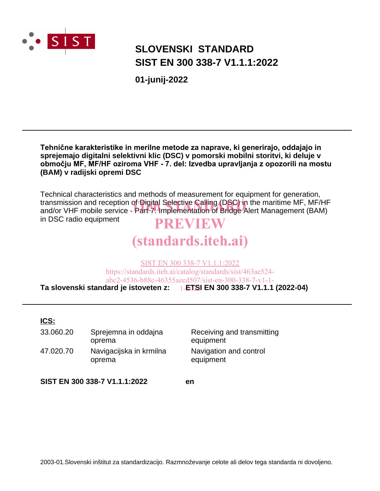

# **SLOVENSKI STANDARD SIST EN 300 338-7 V1.1.1:2022**

**01-junij-2022**

**Tehnične karakteristike in merilne metode za naprave, ki generirajo, oddajajo in sprejemajo digitalni selektivni klic (DSC) v pomorski mobilni storitvi, ki deluje v območju MF, MF/HF oziroma VHF - 7. del: Izvedba upravljanja z opozorili na mostu (BAM) v radijski opremi DSC**

Technical characteristics and methods of measurement for equipment for generation, transmission and reception of Digital Selective Calling (DSC) in the maritime MF, MF/HF transmission and reception of Digital Selective Calling (DSC) in the maritime MF, MF/HF<br>and/or VHF mobile service - Part 7: Implementation of Bridge Alert Management (BAM) in DSC radio equipment **PREVIEW**

# **(standards.iteh.ai)**

**Ta slovenski standard je istoveten z: ETSI EN 300 338-7 V1.1.1 (2022-04)** 1-2022SIST EN 300 338-7 V1.1.1:2022 https://standards.iteh.ai/catalog/standards/sist/463ae524 abc2-4536-b88c-46355aecd507/sist-en-300-338-7-v1-1-

#### **ICS:**

| 33.060.20 | Sprejemna in oddajna<br>oprema    | Rec<br>eau |
|-----------|-----------------------------------|------------|
| 47.020.70 | Navigacijska in krmilna<br>oprema | Nav<br>eau |

eiving and transmitting ipment igation and control ipment

**SIST EN 300 338-7 V1.1.1:2022 en**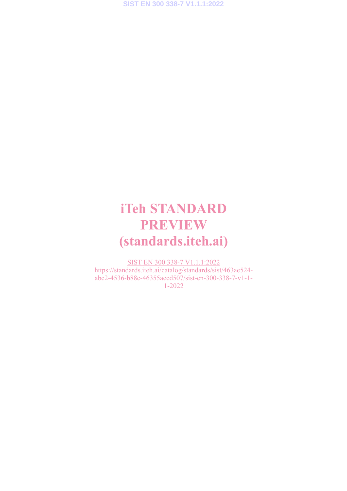# **iTeh STANDARD PREVIEW (standards.iteh.ai)**

SIST EN 300 338-7 V1.1.1:2022 https://standards.iteh.ai/catalog/standards/sist/463ae524 abc2-4536-b88c-46355aecd507/sist-en-300-338-7-v1-1- 1-2022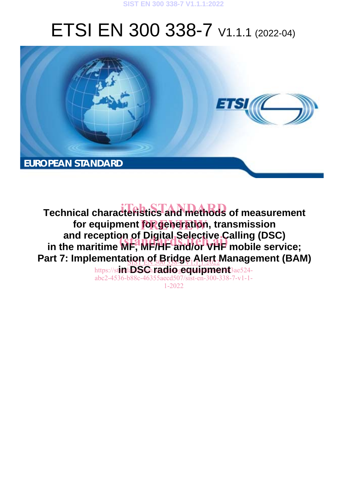#### **SIST EN 300 338-7 V1.1.1:2022**

# ETSI EN 300 338-7 V1.1.1 (2022-04)



**Technical characteristics and methods of measurement** for equipment **for generation**, transmission **and reception of Digital Selective Calling (DSC)**  and reception of Digital Selective Calling (DSC)<br>in the maritime MF, MF/HF and/or VHF mobile service; Part 7: Implementat<u>ion of Bridge Alert M</u>anagement (BAM) https://stind**DSC.radiogequipment**3ae524-

abc2-4536-b88c-46355aecd507/sist-en-300-338-7-v1-1- 1-2022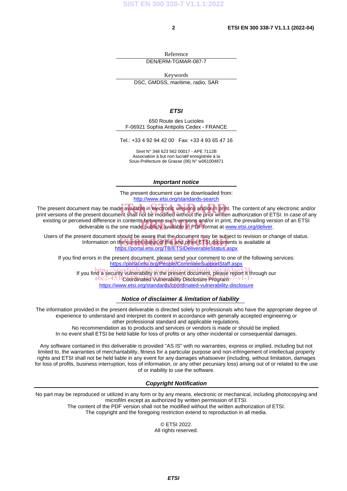Reference DEN/ERM-TGMAR-087-7

Keywords

DSC, GMDSS, maritime, radio, SAR

*ETSI* 

650 Route des Lucioles F-06921 Sophia Antipolis Cedex - FRANCE

Tel.: +33 4 92 94 42 00 Fax: +33 4 93 65 47 16

Siret N° 348 623 562 00017 - APE 7112B Association à but non lucratif enregistrée à la Sous-Préfecture de Grasse (06) N° w061004871

#### *Important notice*

The present document can be downloaded from: http://www.etsi.org/standards-search

The present document may be made available in electronic versions and/or in print. The content of any electronic and/or<br>Drint versions of the present document shall not be modified without the prior written authorization o print versions of the present document shall not be modified without the prior written authorization of ETSI. In case of any existing or perceived difference in contents between such versions and/or in print, the prevailing version of an ETSI eived difference in contents between such versions and/or in print, the prevailing vers<br>deliverable is the one made publicly available in PDF format at <u>www.etsi.org/deliver</u>.

Users of the present document should be aware that the document may be subject to revision or change of status. Information on the current status of this and other ETSI documents is available at : should be aware that the document may be subject<br>ι the current status of this and other ETSI documents<br><u>https://portal.etsi.org/TB/ETSIDeliverableStatus.aspx</u>

If you find errors in the present document, please send your comment to one of the following services: https://portal.etsi.org/People/CommiteeSupportStaff.aspx

If you find a security vulnerability in the present document, please report it through our https://standards.iteh.ai/catalog/standards/sist/463ae524 abc2-4536-bandhated Vulnerability Disclosure Program: 7-v1-1https://www.etsi.org/standards/coordinated-vulnerability-disclosure

#### *Notice of disclaimer & limitation of liability*

The information provided in the present deliverable is directed solely to professionals who have the appropriate degree of experience to understand and interpret its content in accordance with generally accepted engineering or other professional standard and applicable regulations.

No recommendation as to products and services or vendors is made or should be implied.

In no event shall ETSI be held liable for loss of profits or any other incidental or consequential damages.

Any software contained in this deliverable is provided "AS IS" with no warranties, express or implied, including but not limited to, the warranties of merchantability, fitness for a particular purpose and non-infringement of intellectual property rights and ETSI shall not be held liable in any event for any damages whatsoever (including, without limitation, damages for loss of profits, business interruption, loss of information, or any other pecuniary loss) arising out of or related to the use of or inability to use the software.

#### *Copyright Notification*

No part may be reproduced or utilized in any form or by any means, electronic or mechanical, including photocopying and microfilm except as authorized by written permission of ETSI.

The content of the PDF version shall not be modified without the written authorization of ETSI. The copyright and the foregoing restriction extend to reproduction in all media.

> © ETSI 2022. All rights reserved.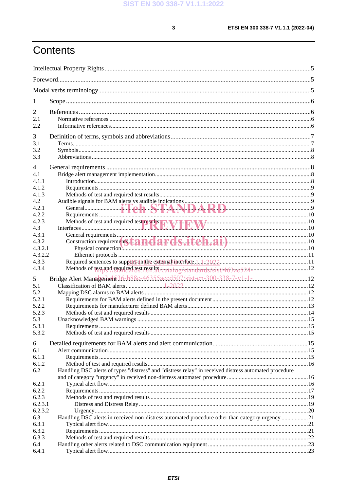$\mathbf{3}$ 

# Contents

| 1                  |                                                                                                       |  |
|--------------------|-------------------------------------------------------------------------------------------------------|--|
| 2                  |                                                                                                       |  |
| 2.1                |                                                                                                       |  |
| 2.2                |                                                                                                       |  |
| 3                  |                                                                                                       |  |
| 3.1                |                                                                                                       |  |
| 3.2                |                                                                                                       |  |
| 3.3                |                                                                                                       |  |
| 4                  |                                                                                                       |  |
| 4.1                |                                                                                                       |  |
| 4.1.1              |                                                                                                       |  |
| 4.1.2              |                                                                                                       |  |
| 4.1.3              |                                                                                                       |  |
| 4.2                |                                                                                                       |  |
| 4.2.1              |                                                                                                       |  |
| 4.2.2              |                                                                                                       |  |
| 4.2.3              |                                                                                                       |  |
| 4.3                |                                                                                                       |  |
| 4.3.1              |                                                                                                       |  |
| 4.3.2              |                                                                                                       |  |
| 4.3.2.1<br>4.3.2.2 |                                                                                                       |  |
| 4.3.3              |                                                                                                       |  |
| 4.3.4              |                                                                                                       |  |
|                    |                                                                                                       |  |
| 5                  |                                                                                                       |  |
| 5.1                |                                                                                                       |  |
| 5.2                |                                                                                                       |  |
| 5.2.1<br>5.2.2     |                                                                                                       |  |
| 5.2.3              |                                                                                                       |  |
| 5.3                |                                                                                                       |  |
| 5.3.1              |                                                                                                       |  |
| 5.3.2              |                                                                                                       |  |
|                    |                                                                                                       |  |
| 6                  |                                                                                                       |  |
| 6.1<br>6.1.1       |                                                                                                       |  |
| 6.1.2              |                                                                                                       |  |
| 6.2                | Handling DSC alerts of types "distress" and "distress relay" in received distress automated procedure |  |
|                    |                                                                                                       |  |
| 6.2.1              |                                                                                                       |  |
| 6.2.2              |                                                                                                       |  |
| 6.2.3              |                                                                                                       |  |
| 6.2.3.1            |                                                                                                       |  |
| 6.2.3.2            |                                                                                                       |  |
| 6.3                | Handling DSC alerts in received non-distress automated procedure other than category urgency 21       |  |
| 6.3.1              |                                                                                                       |  |
| 6.3.2              |                                                                                                       |  |
| 6.3.3<br>6.4       |                                                                                                       |  |
| 6.4.1              |                                                                                                       |  |
|                    |                                                                                                       |  |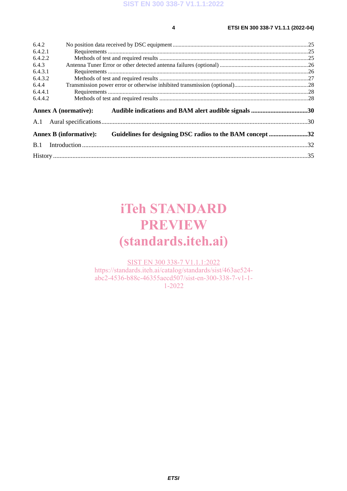#### **4 ETSI EN 300 338-7 V1.1.1 (2022-04)**

| 6.4.2   |                                                                                            |  |
|---------|--------------------------------------------------------------------------------------------|--|
| 6.4.2.1 |                                                                                            |  |
| 6.4.2.2 |                                                                                            |  |
| 6.4.3   |                                                                                            |  |
| 6.4.3.1 |                                                                                            |  |
| 6.4.3.2 |                                                                                            |  |
| 6.4.4   |                                                                                            |  |
| 6.4.4.1 |                                                                                            |  |
| 6.4.4.2 |                                                                                            |  |
|         | <b>Annex A (normative):</b><br>Audible indications and BAM alert audible signals 30        |  |
| A.1     |                                                                                            |  |
|         | Guidelines for designing DSC radios to the BAM concept 32<br><b>Annex B (informative):</b> |  |
| B.1     |                                                                                            |  |
|         |                                                                                            |  |

# **iTeh STANDARD PREVIEW (standards.iteh.ai)**

SIST EN 300 338-7 V1.1.1:2022 https://standards.iteh.ai/catalog/standards/sist/463ae524 abc2-4536-b88c-46355aecd507/sist-en-300-338-7-v1-1- 1-2022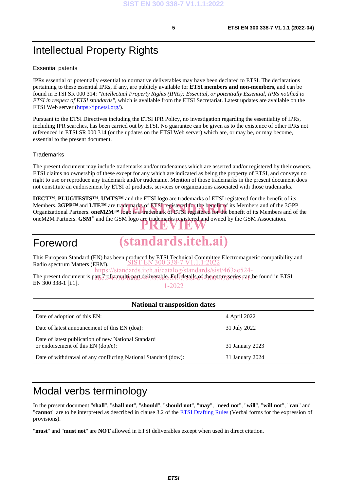# Intellectual Property Rights

#### Essential patents

IPRs essential or potentially essential to normative deliverables may have been declared to ETSI. The declarations pertaining to these essential IPRs, if any, are publicly available for **ETSI members and non-members**, and can be found in ETSI SR 000 314: *"Intellectual Property Rights (IPRs); Essential, or potentially Essential, IPRs notified to ETSI in respect of ETSI standards"*, which is available from the ETSI Secretariat. Latest updates are available on the ETSI Web server (https://ipr.etsi.org/).

Pursuant to the ETSI Directives including the ETSI IPR Policy, no investigation regarding the essentiality of IPRs, including IPR searches, has been carried out by ETSI. No guarantee can be given as to the existence of other IPRs not referenced in ETSI SR 000 314 (or the updates on the ETSI Web server) which are, or may be, or may become, essential to the present document.

#### **Trademarks**

The present document may include trademarks and/or tradenames which are asserted and/or registered by their owners. ETSI claims no ownership of these except for any which are indicated as being the property of ETSI, and conveys no right to use or reproduce any trademark and/or tradename. Mention of those trademarks in the present document does not constitute an endorsement by ETSI of products, services or organizations associated with those trademarks.

**DECT™**, **PLUGTESTS™**, **UMTS™** and the ETSI logo are trademarks of ETSI registered for the benefit of its Members. **3GPP™** and **LTE™** are trademarks of ETSI registered for the benefit of its Members and of the 3GPP Members. **3GPP™** and LTE™ are trademarks of ETSI registered for the benefit of its Members and of the 3GPP<br>Organizational Partners. oneM2M™ logo is a trademark of ETSI registered for the benefit of its Members and of the oneM2M Partners. **GSM**<sup>®</sup> and the GSM logo are trademarks registered and owned by the GSM Association.

## Foreword

**(standards.iteh.ai)**

This European Standard (EN) has been produced by ETSI Technical Committee Electromagnetic compatibility and Radio spectrum Matters (ERM). Radio spectrum Matters (ERM). https://standards.iteh.ai/catalog/standards/sist/463ae524-

The present document is part 7 of a multi-part deliverable. Full details of the entire series can be found in ETSI EN 300 338-1 [i.1]. 1-2022

| <b>National transposition dates</b>                                                       |                 |  |
|-------------------------------------------------------------------------------------------|-----------------|--|
| Date of adoption of this EN:                                                              | 4 April 2022    |  |
| Date of latest announcement of this EN (doa):                                             | 31 July 2022    |  |
| Date of latest publication of new National Standard<br>or endorsement of this EN (dop/e): | 31 January 2023 |  |
| Date of withdrawal of any conflicting National Standard (dow):                            | 31 January 2024 |  |

## Modal verbs terminology

In the present document "**shall**", "**shall not**", "**should**", "**should not**", "**may**", "**need not**", "**will**", "**will not**", "**can**" and "**cannot**" are to be interpreted as described in clause 3.2 of the ETSI Drafting Rules (Verbal forms for the expression of provisions).

"**must**" and "**must not**" are **NOT** allowed in ETSI deliverables except when used in direct citation.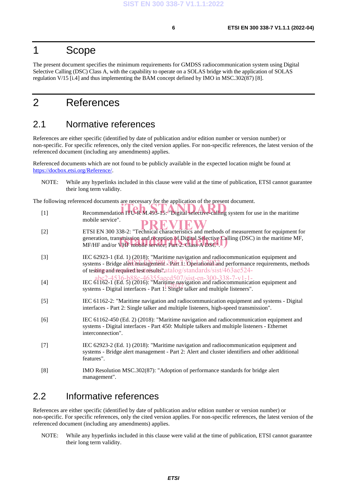## 1 Scope

The present document specifies the minimum requirements for GMDSS radiocommunication system using Digital Selective Calling (DSC) Class A, with the capability to operate on a SOLAS bridge with the application of SOLAS regulation V/15 [i.4] and thus implementing the BAM concept defined by IMO in MSC.302(87) [8].

# 2 References

## 2.1 Normative references

References are either specific (identified by date of publication and/or edition number or version number) or non-specific. For specific references, only the cited version applies. For non-specific references, the latest version of the referenced document (including any amendments) applies.

Referenced documents which are not found to be publicly available in the expected location might be found at https://docbox.etsi.org/Reference/.

NOTE: While any hyperlinks included in this clause were valid at the time of publication, ETSI cannot guarantee their long term validity.

|       | The following referenced documents are necessary for the application of the present document.                                                                                                                                                                          |
|-------|------------------------------------------------------------------------------------------------------------------------------------------------------------------------------------------------------------------------------------------------------------------------|
| $[1]$ | Recommendation ITU-R M.493-15: "Digital selective-calling system for use in the maritime                                                                                                                                                                               |
|       | mobile service".                                                                                                                                                                                                                                                       |
| $[2]$ | ETSI EN 300 338-2: "Technical characteristics and methods of measurement for equipment for<br>generation, transmission and reception of Digital Selective Calling (DSC) in the maritime MF,<br>MF/HF and/or VHF mobile service; Part 2: Class A DSC <sup>u</sup> .     |
|       |                                                                                                                                                                                                                                                                        |
| $[3]$ | IEC 62923-1 (Ed. 1) (2018): "Maritime navigation and radiocommunication equipment and<br>systems - Bridge alert management - Part 1: Operational and performance requirements, methods<br>of testitig and stequiled test relationship catalog/standards/sist/463ae524- |
| $[4]$ | abc2-4536-b88c-46355aecd507/sist-en-300-338-7-v1-1-<br>IEC 61162-1 (Ed. 5) (2016): "Maritime, navigation and radiocommunication equipment and<br>systems - Digital interfaces - Part 1: Single talker and multiple listeners".                                         |
| $[5]$ | IEC 61162-2: "Maritime navigation and radiocommunication equipment and systems - Digital<br>interfaces - Part 2: Single talker and multiple listeners, high-speed transmission".                                                                                       |
| [6]   | IEC 61162-450 (Ed. 2) (2018): "Maritime navigation and radiocommunication equipment and<br>systems - Digital interfaces - Part 450: Multiple talkers and multiple listeners - Ethernet<br>interconnection".                                                            |
| $[7]$ | IEC 62923-2 (Ed. 1) (2018): "Maritime navigation and radiocommunication equipment and<br>systems - Bridge alert management - Part 2: Alert and cluster identifiers and other additional<br>features".                                                                  |
| [8]   | IMO Resolution MSC.302(87): "Adoption of performance standards for bridge alert<br>management".                                                                                                                                                                        |

### 2.2 Informative references

References are either specific (identified by date of publication and/or edition number or version number) or non-specific. For specific references, only the cited version applies. For non-specific references, the latest version of the referenced document (including any amendments) applies.

NOTE: While any hyperlinks included in this clause were valid at the time of publication, ETSI cannot guarantee their long term validity.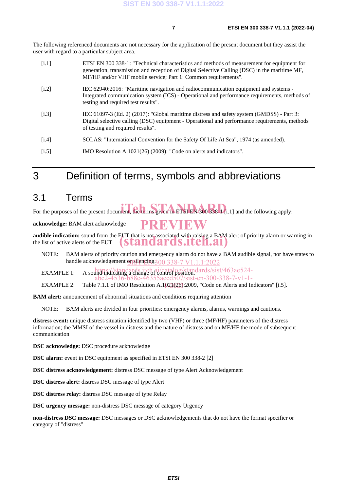The following referenced documents are not necessary for the application of the present document but they assist the user with regard to a particular subject area.

| [i.1] | ETSI EN 300 338-1: "Technical characteristics and methods of measurement for equipment for<br>generation, transmission and reception of Digital Selective Calling (DSC) in the maritime MF,<br>MF/HF and/or VHF mobile service; Part 1: Common requirements". |
|-------|---------------------------------------------------------------------------------------------------------------------------------------------------------------------------------------------------------------------------------------------------------------|
| [i.2] | IEC 62940:2016: "Maritime navigation and radiocommunication equipment and systems -<br>Integrated communication system (ICS) - Operational and performance requirements, methods of<br>testing and required test results".                                    |
| [i.3] | IEC 61097-3 (Ed. 2) (2017): "Global maritime distress and safety system (GMDSS) - Part 3:<br>Digital selective calling (DSC) equipment - Operational and performance requirements, methods<br>of testing and required results".                               |
| [i.4] | SOLAS: "International Convention for the Safety Of Life At Sea", 1974 (as amended).                                                                                                                                                                           |
| [i.5] | IMO Resolution A.1021(26) (2009): "Code on alerts and indicators".                                                                                                                                                                                            |
|       |                                                                                                                                                                                                                                                               |

# 3 Definition of terms, symbols and abbreviations

#### 3.1 Terms

For the purposes of the present document, the terms given in ETSI EN 300 338-1 [i.1] and the following apply:

**acknowledge:** BAM alert acknowledge

**audible indication:** sound from the EUT that is not associated with raising a BAM alert of priority alarm or warning in the list of active alerts of the EUT **(standards.iteh.ai)**

NOTE: BAM alerts of priority caution and emergency alarm do not have a BAM audible signal, nor have states to handle acknowledgement or silencing 300 338-7 V1.1.1:2022

**PREVIEW**

EXAMPLE 1: A sound indicating a change of control position. https://standards.iteh.ai/catalog/standards/sist/463ae524 abc2-4536-b88c-46355aecd507/sist-en-300-338-7-v1-1-

EXAMPLE 2: Table 7.1.1 of IMO Resolution A.1 $[0.21(26)$ :2009, "Code on Alerts and Indicators" [i.5].

**BAM alert:** announcement of abnormal situations and conditions requiring attention

NOTE: BAM alerts are divided in four priorities: emergency alarms, alarms, warnings and cautions.

**distress event:** unique distress situation identified by two (VHF) or three (MF/HF) parameters of the distress information; the MMSI of the vessel in distress and the nature of distress and on MF/HF the mode of subsequent communication

**DSC acknowledge:** DSC procedure acknowledge

**DSC alarm:** event in DSC equipment as specified in ETSI EN 300 338-2 [2]

**DSC distress acknowledgement:** distress DSC message of type Alert Acknowledgement

**DSC distress alert:** distress DSC message of type Alert

**DSC distress relay:** distress DSC message of type Relay

**DSC urgency message:** non-distress DSC message of category Urgency

**non-distress DSC message:** DSC messages or DSC acknowledgements that do not have the format specifier or category of "distress"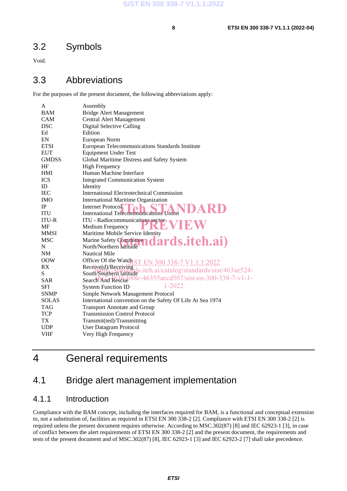## 3.2 Symbols

Void.

### 3.3 Abbreviations

For the purposes of the present document, the following abbreviations apply:

| A            | Assembly                                                                                                                                                            |
|--------------|---------------------------------------------------------------------------------------------------------------------------------------------------------------------|
| <b>BAM</b>   | <b>Bridge Alert Management</b>                                                                                                                                      |
| <b>CAM</b>   | <b>Central Alert Management</b>                                                                                                                                     |
| <b>DSC</b>   | <b>Digital Selective Calling</b>                                                                                                                                    |
| Ed           | Edition                                                                                                                                                             |
| EN           | European Norm                                                                                                                                                       |
| <b>ETSI</b>  | European Telecommunications Standards Institute                                                                                                                     |
| <b>EUT</b>   | <b>Equipment Under Test</b>                                                                                                                                         |
| <b>GMDSS</b> | Global Maritime Distress and Safety System                                                                                                                          |
| HF           | <b>High Frequency</b>                                                                                                                                               |
| <b>HMI</b>   | Human Machine Interface                                                                                                                                             |
| <b>ICS</b>   | <b>Integrated Communication System</b>                                                                                                                              |
| ID           | Identity                                                                                                                                                            |
| <b>IEC</b>   | International Electrotechnical Commission                                                                                                                           |
| <b>IMO</b>   | <b>International Maritime Organization</b>                                                                                                                          |
| IP           | Internet Protocol <sup>1</sup>                                                                                                                                      |
| <b>ITU</b>   | International Telecommunications Union                                                                                                                              |
| <b>ITU-R</b> | ITU - Radiocommunications sector-                                                                                                                                   |
| <b>MF</b>    | Medium Frequency                                                                                                                                                    |
| <b>MMSI</b>  | Maritime Mobile Service Identity                                                                                                                                    |
| <b>MSC</b>   | Marine Safety Committee<br>dards.iteh.ai)                                                                                                                           |
| N            | North/Northern latitude                                                                                                                                             |
| NM           | <b>Nautical Mile</b>                                                                                                                                                |
| <b>OOW</b>   | Officer Of the Watch<br>300 338-7 V1.1.1:2022                                                                                                                       |
| RX           | Received)/Receiving<br>Standards.iteh.ai/catalog/standards/sist/463ae524-<br>South/Southern latitude<br>Search And Rescue 2805-46355aecd507/sist-en-300-338-7-v1-1- |
| S            |                                                                                                                                                                     |
| <b>SAR</b>   |                                                                                                                                                                     |
| <b>SFI</b>   | 1-2022<br><b>System Function ID</b>                                                                                                                                 |
| <b>SNMP</b>  | Simple Network Management Protocol                                                                                                                                  |
| <b>SOLAS</b> | International convention on the Safety Of Life At Sea 1974                                                                                                          |
| <b>TAG</b>   | <b>Transport Annotate and Group</b>                                                                                                                                 |
| <b>TCP</b>   | <b>Transmission Control Protocol</b>                                                                                                                                |
| TX           | Transmit(ted)/Transmitting                                                                                                                                          |
| <b>UDP</b>   | <b>User Datagram Protocol</b>                                                                                                                                       |
| VHF          | Very High Frequency                                                                                                                                                 |

# 4 General requirements

## 4.1 Bridge alert management implementation

#### 4.1.1 Introduction

Compliance with the BAM concept, including the interfaces required for BAM, is a functional and conceptual extension to, not a substitution of, facilities as required in ETSI EN 300 338-2 [2]. Compliance with ETSI EN 300 338-2 [2] is required unless the present document requires otherwise. According to MSC.302(87) [8] and IEC 62923-1 [3], in case of conflict between the alert requirements of ETSI EN 300 338-2 [2] and the present document, the requirements and tests of the present document and of MSC.302(87) [8], IEC 62923-1 [3] and IEC 62923-2 [7] shall take precedence.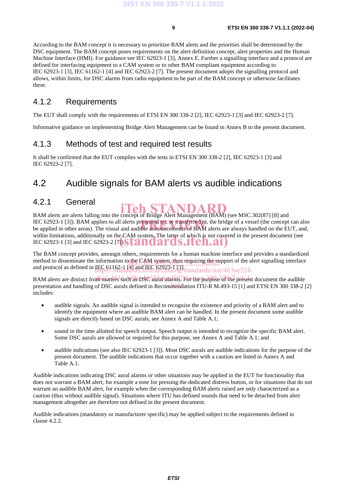According to the BAM concept it is necessary to prioritize BAM alerts and the priorities shall be determined by the DSC equipment. The BAM concept poses requirements on the alert definition concept, alert properties and the Human Machine Interface (HMI). For guidance see IEC 62923-1 [3], Annex E. Further a signalling interface and a protocol are defined for interfacing equipment to a CAM system or to other BAM compliant equipment according to IEC 62923-1 [3], IEC 61162-1 [4] and IEC 62923-2 [7]. The present document adopts the signalling protocol and allows, within limits, for DSC alarms from radio equipment to be part of the BAM concept or otherwise facilitates these.

#### 4.1.2 Requirements

The EUT shall comply with the requirements of ETSI EN 300 338-2 [2], IEC 62923-1 [3] and IEC 62923-2 [7].

Informative guidance on implementing Bridge Alert Management can be found in Annex B to the present document.

#### 4.1.3 Methods of test and required test results

It shall be confirmed that the EUT complies with the tests in ETSI EN 300 338-2 [2], IEC 62923-1 [3] and IEC 62923-2 [7].

## 4.2 Audible signals for BAM alerts vs audible indications

#### 4.2.1 General

**BAM alerts are alerts falling into the concept of Bridge Alert Management (BAM) (see MSC.302(87) [8] and** IEC 62923-1 [3]). BAM applies to all alerts presented on, or transferred to, the bridge of a vessel (the concept can also be applied in other areas). The visual and audible announcements of BAM alerts are always handled on be applied in other areas). The visual and audible announcements of BAM alerts are always handled on the EUT, and, within limitations, additionally on the CAM system. The latter of which is not covered in the present document (see within limitations, additionally on the CAM system. The latter of which is not cover<br>IEC 62923-1 [3] and IEC 62923-2 [7]). **121102708.11en.21** 

The BAM concept provides, amongst others, requirements for a human machine interface and provides a standardized method to disseminate the information to the CAM system, thus requiring the support of the alert signalling interface and protocol as defined in IEC 61162-1 [4] and IEC 62923-1 [3] standards/sist/463ae524-

BAM alerts are distinct from matters such as DSC aural and also trie the purpose of the present document the audible presentation and handling of DSC aurals defined in Recommendation ITU-R M.493-15 [1] and ETSI EN 300 338-2 [2] includes:

- audible signals. An audible signal is intended to recognize the existence and priority of a BAM alert and to identify the equipment where an audible BAM alert can be handled. In the present document some audible signals are directly based on DSC aurals, see Annex A and Table A.1;
- sound in the time allotted for speech output. Speech output is intended to recognize the specific BAM alert. Some DSC aurals are allowed or required for this purpose, see Annex A and Table A.1; and
- audible indications (see also IEC 62923-1 [3]). Most DSC aurals are audible indications for the purpose of the present document. The audible indications that occur together with a caution are listed in Annex A and Table A.1.

Audible indications indicating DSC aural alarms or other situations may be applied in the EUT for functionality that does not warrant a BAM alert, for example a tone for pressing the dedicated distress button, or for situations that do not warrant an audible BAM alert, for example when the corresponding BAM alerts raised are only characterized as a caution (thus without audible signal). Situations where ITU has defined sounds that need to be detached from alert management altogether are therefore not defined in the present document.

Audible indications (mandatory or manufacturer specific) may be applied subject to the requirements defined in clause 4.2.2.